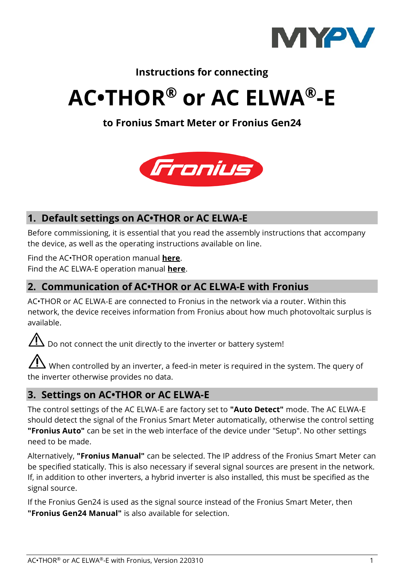

# **Instructions for connecting**

# **AC•THOR® or AC ELWA®-E**

## **to Fronius Smart Meter or Fronius Gen24**



# **1. Default settings on AC•THOR or AC ELWA-E**

Before commissioning, it is essential that you read the assembly instructions that accompany the device, as well as the operating instructions available on line.

Find the AC•THOR operation manual **[here](https://www.my-pv.com/en/info/downloads?alias=AC%E2%80%A2THOR%20Operation%20manual)**. Find the AC ELWA-E operation manual **[here](https://www.my-pv.com/en/info/downloads?alias=AC%20ELWA-E%20Operation%20manual)**.

## **2. Communication of AC•THOR or AC ELWA-E with Fronius**

AC•THOR or AC ELWA-E are connected to Fronius in the network via a router. Within this network, the device receives information from Fronius about how much photovoltaic surplus is available.

 $\mathbb{Z}$  Do not connect the unit directly to the inverter or battery system!

 $\Delta$  When controlled by an inverter, a feed-in meter is required in the system. The query of the inverter otherwise provides no data.

### **3. Settings on AC•THOR or AC ELWA-E**

The control settings of the AC ELWA-E are factory set to **"Auto Detect"** mode. The AC ELWA-E should detect the signal of the Fronius Smart Meter automatically, otherwise the control setting **"Fronius Auto"** can be set in the web interface of the device under "Setup". No other settings need to be made.

Alternatively, **"Fronius Manual"** can be selected. The IP address of the Fronius Smart Meter can be specified statically. This is also necessary if several signal sources are present in the network. If, in addition to other inverters, a hybrid inverter is also installed, this must be specified as the signal source.

If the Fronius Gen24 is used as the signal source instead of the Fronius Smart Meter, then **"Fronius Gen24 Manual"** is also available for selection.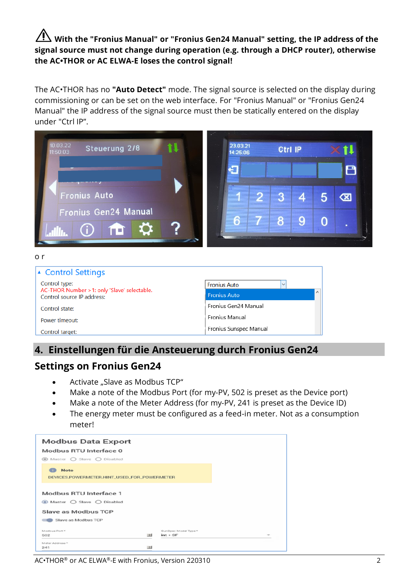## **With the "Fronius Manual" or "Fronius Gen24 Manual" setting, the IP address of the signal source must not change during operation (e.g. through a DHCP router), otherwise the AC•THOR or AC ELWA-E loses the control signal!**

The AC•THOR has no **"Auto Detect"** mode. The signal source is selected on the display during commissioning or can be set on the web interface. For "Fronius Manual" or "Fronius Gen24 Manual" the IP address of the signal source must then be statically entered on the display under "Ctrl IP".



Fronius Gen24 Manual Control state: Fronius Manual Power timeout: Fronius Sunspec Manual Control target:

### **4. Einstellungen für die Ansteuerung durch Fronius Gen24**

### **Settings on Fronius Gen24**

- Activate "Slave as Modbus TCP"
- Make a note of the Modbus Port (for my-PV, 502 is preset as the Device port)
- Make a note of the Meter Address (for my-PV, 241 is preset as the Device ID)
- The energy meter must be configured as a feed-in meter. Not as a consumption meter!